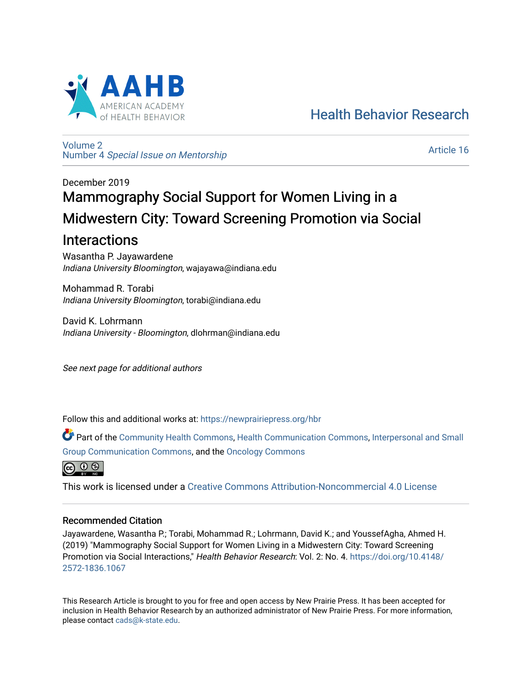

[Health Behavior Research](https://newprairiepress.org/hbr) 

[Volume 2](https://newprairiepress.org/hbr/vol2) Number 4 [Special Issue on Mentorship](https://newprairiepress.org/hbr/vol2/iss4) 

[Article 16](https://newprairiepress.org/hbr/vol2/iss4/16) 

# December 2019 Mammography Social Support for Women Living in a Midwestern City: Toward Screening Promotion via Social

# Interactions

Wasantha P. Jayawardene Indiana University Bloomington, wajayawa@indiana.edu

Mohammad R. Torabi Indiana University Bloomington, torabi@indiana.edu

David K. Lohrmann Indiana University - Bloomington, dlohrman@indiana.edu

See next page for additional authors

Follow this and additional works at: [https://newprairiepress.org/hbr](https://newprairiepress.org/hbr?utm_source=newprairiepress.org%2Fhbr%2Fvol2%2Fiss4%2F16&utm_medium=PDF&utm_campaign=PDFCoverPages) 

Part of the [Community Health Commons,](http://network.bepress.com/hgg/discipline/714?utm_source=newprairiepress.org%2Fhbr%2Fvol2%2Fiss4%2F16&utm_medium=PDF&utm_campaign=PDFCoverPages) [Health Communication Commons,](http://network.bepress.com/hgg/discipline/330?utm_source=newprairiepress.org%2Fhbr%2Fvol2%2Fiss4%2F16&utm_medium=PDF&utm_campaign=PDFCoverPages) [Interpersonal and Small](http://network.bepress.com/hgg/discipline/332?utm_source=newprairiepress.org%2Fhbr%2Fvol2%2Fiss4%2F16&utm_medium=PDF&utm_campaign=PDFCoverPages)  [Group Communication Commons,](http://network.bepress.com/hgg/discipline/332?utm_source=newprairiepress.org%2Fhbr%2Fvol2%2Fiss4%2F16&utm_medium=PDF&utm_campaign=PDFCoverPages) and the [Oncology Commons](http://network.bepress.com/hgg/discipline/694?utm_source=newprairiepress.org%2Fhbr%2Fvol2%2Fiss4%2F16&utm_medium=PDF&utm_campaign=PDFCoverPages)



This work is licensed under a [Creative Commons Attribution-Noncommercial 4.0 License](https://creativecommons.org/licenses/by-nc/4.0/)

# Recommended Citation

Jayawardene, Wasantha P.; Torabi, Mohammad R.; Lohrmann, David K.; and YoussefAgha, Ahmed H. (2019) "Mammography Social Support for Women Living in a Midwestern City: Toward Screening Promotion via Social Interactions," Health Behavior Research: Vol. 2: No. 4. [https://doi.org/10.4148/](https://doi.org/10.4148/2572-1836.1067) [2572-1836.1067](https://doi.org/10.4148/2572-1836.1067) 

This Research Article is brought to you for free and open access by New Prairie Press. It has been accepted for inclusion in Health Behavior Research by an authorized administrator of New Prairie Press. For more information, please contact [cads@k-state.edu.](mailto:cads@k-state.edu)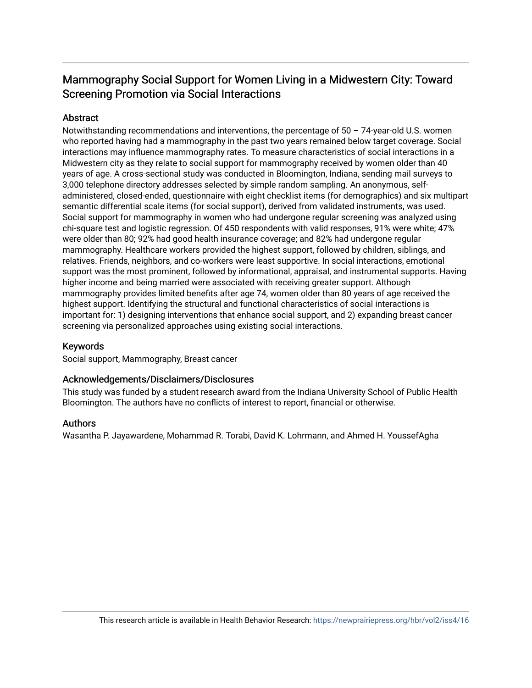# Mammography Social Support for Women Living in a Midwestern City: Toward Screening Promotion via Social Interactions

# **Abstract**

Notwithstanding recommendations and interventions, the percentage of 50 – 74-year-old U.S. women who reported having had a mammography in the past two years remained below target coverage. Social interactions may influence mammography rates. To measure characteristics of social interactions in a Midwestern city as they relate to social support for mammography received by women older than 40 years of age. A cross-sectional study was conducted in Bloomington, Indiana, sending mail surveys to 3,000 telephone directory addresses selected by simple random sampling. An anonymous, selfadministered, closed-ended, questionnaire with eight checklist items (for demographics) and six multipart semantic differential scale items (for social support), derived from validated instruments, was used. Social support for mammography in women who had undergone regular screening was analyzed using chi-square test and logistic regression. Of 450 respondents with valid responses, 91% were white; 47% were older than 80; 92% had good health insurance coverage; and 82% had undergone regular mammography. Healthcare workers provided the highest support, followed by children, siblings, and relatives. Friends, neighbors, and co-workers were least supportive. In social interactions, emotional support was the most prominent, followed by informational, appraisal, and instrumental supports. Having higher income and being married were associated with receiving greater support. Although mammography provides limited benefits after age 74, women older than 80 years of age received the highest support. Identifying the structural and functional characteristics of social interactions is important for: 1) designing interventions that enhance social support, and 2) expanding breast cancer screening via personalized approaches using existing social interactions.

## Keywords

Social support, Mammography, Breast cancer

## Acknowledgements/Disclaimers/Disclosures

This study was funded by a student research award from the Indiana University School of Public Health Bloomington. The authors have no conflicts of interest to report, financial or otherwise.

## Authors

Wasantha P. Jayawardene, Mohammad R. Torabi, David K. Lohrmann, and Ahmed H. YoussefAgha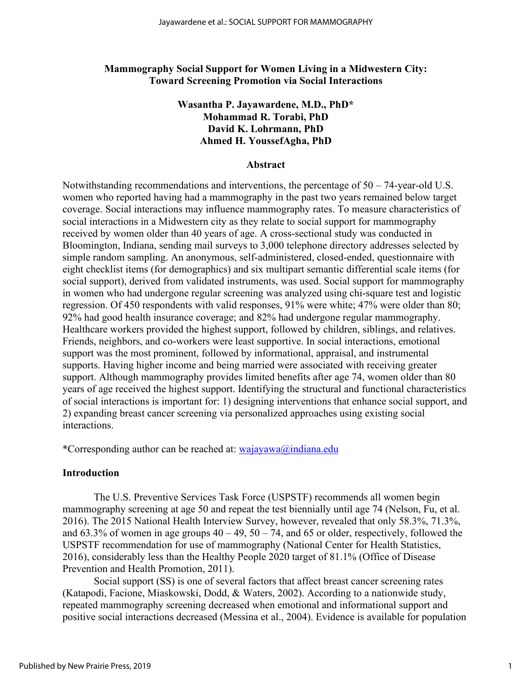#### **Mammography Social Support for Women Living in a Midwestern City: Toward Screening Promotion via Social Interactions**

# **Wasantha P. Jayawardene, M.D., PhD\* Mohammad R. Torabi, PhD David K. Lohrmann, PhD Ahmed H. YoussefAgha, PhD**

#### **Abstract**

Notwithstanding recommendations and interventions, the percentage of 50 – 74-year-old U.S. women who reported having had a mammography in the past two years remained below target coverage. Social interactions may influence mammography rates. To measure characteristics of social interactions in a Midwestern city as they relate to social support for mammography received by women older than 40 years of age. A cross-sectional study was conducted in Bloomington, Indiana, sending mail surveys to 3,000 telephone directory addresses selected by simple random sampling. An anonymous, self-administered, closed-ended, questionnaire with eight checklist items (for demographics) and six multipart semantic differential scale items (for social support), derived from validated instruments, was used. Social support for mammography in women who had undergone regular screening was analyzed using chi-square test and logistic regression. Of 450 respondents with valid responses, 91% were white; 47% were older than 80; 92% had good health insurance coverage; and 82% had undergone regular mammography. Healthcare workers provided the highest support, followed by children, siblings, and relatives. Friends, neighbors, and co-workers were least supportive. In social interactions, emotional support was the most prominent, followed by informational, appraisal, and instrumental supports. Having higher income and being married were associated with receiving greater support. Although mammography provides limited benefits after age 74, women older than 80 years of age received the highest support. Identifying the structural and functional characteristics of social interactions is important for: 1) designing interventions that enhance social support, and 2) expanding breast cancer screening via personalized approaches using existing social interactions.

\*Corresponding author can be reached at:  $\alpha a$  wajayawa@indiana.edu

#### **Introduction**

The U.S. Preventive Services Task Force (USPSTF) recommends all women begin mammography screening at age 50 and repeat the test biennially until age 74 [\(Nelson, Fu, et al.](#page-10-0) [2016\)](#page-10-0). The 2015 National Health Interview Survey, however, revealed that only 58.3%, 71.3%, and  $63.3\%$  of women in age groups  $40 - 49$ ,  $50 - 74$ , and  $65$  or older, respectively, followed the USPSTF recommendation for use of mammography [\(National Center for Health Statistics,](#page-10-1)  [2016\)](#page-10-1), considerably less than the Healthy People 2020 target of 81.1% (Office of Disease Prevention and Health Promotion, 2011).

Social support (SS) is one of several factors that affect breast cancer screening rates [\(Katapodi, Facione, Miaskowski, Dodd, & Waters, 2002\)](#page-9-0). According to a nationwide study, repeated mammography screening decreased when emotional and informational support and positive social interactions decreased [\(Messina et al., 2004\)](#page-10-2). Evidence is available for population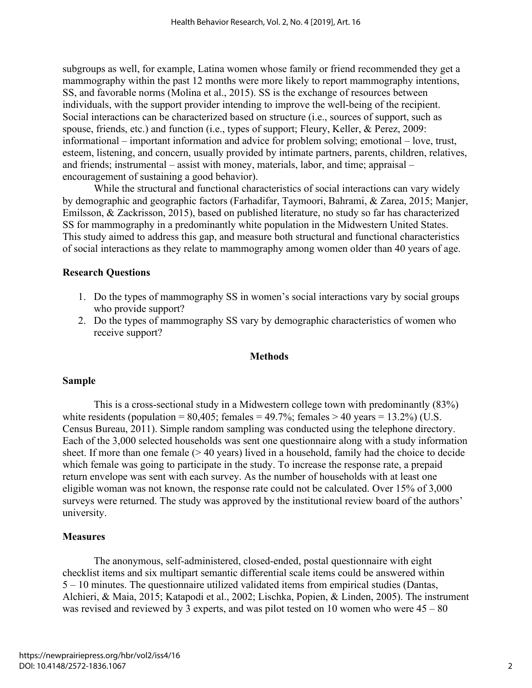subgroups as well, for example, Latina women whose family or friend recommended they get a mammography within the past 12 months were more likely to report mammography intentions, SS, and favorable norms [\(Molina et al., 2015\)](#page-10-3). SS is the exchange of resources between individuals, with the support provider intending to improve the well-being of the recipient. Social interactions can be characterized based on structure (i.e., sources of support, such as spouse, friends, etc.) and function (i.e., types of support; [Fleury, Keller, & Perez, 2009:](#page-9-1) informational – important information and advice for problem solving; emotional – love, trust, esteem, listening, and concern, usually provided by intimate partners, parents, children, relatives, and friends; instrumental – assist with money, materials, labor, and time; appraisal – encouragement of sustaining a good behavior).

While the structural and functional characteristics of social interactions can vary widely by demographic and geographic factors [\(Farhadifar, Taymoori, Bahrami, & Zarea, 2015;](#page-9-2) [Manjer,](#page-9-3)  [Emilsson, & Zackrisson, 2015\)](#page-9-3), based on published literature, no study so far has characterized SS for mammography in a predominantly white population in the Midwestern United States. This study aimed to address this gap, and measure both structural and functional characteristics of social interactions as they relate to mammography among women older than 40 years of age.

#### **Research Questions**

- 1. Do the types of mammography SS in women's social interactions vary by social groups who provide support?
- 2. Do the types of mammography SS vary by demographic characteristics of women who receive support?

#### **Methods**

#### **Sample**

This is a cross-sectional study in a Midwestern college town with predominantly (83%) white residents (population =  $80,405$ ; females =  $49.7\%$ ; females >  $40$  years =  $13.2\%$ ) (U.S. [Census Bureau, 2011\)](#page-10-4). Simple random sampling was conducted using the telephone directory. Each of the 3,000 selected households was sent one questionnaire along with a study information sheet. If more than one female (> 40 years) lived in a household, family had the choice to decide which female was going to participate in the study. To increase the response rate, a prepaid return envelope was sent with each survey. As the number of households with at least one eligible woman was not known, the response rate could not be calculated. Over 15% of 3,000 surveys were returned. The study was approved by the institutional review board of the authors' university.

#### **Measures**

The anonymous, self-administered, closed-ended, postal questionnaire with eight checklist items and six multipart semantic differential scale items could be answered within 5 – 10 minutes. The questionnaire utilized validated items from empirical studies [\(Dantas,](#page-9-4)  [Alchieri, & Maia, 2015;](#page-9-4) [Katapodi et al., 2002;](#page-9-0) [Lischka, Popien, & Linden, 2005\)](#page-9-5). The instrument was revised and reviewed by 3 experts, and was pilot tested on 10 women who were  $45 - 80$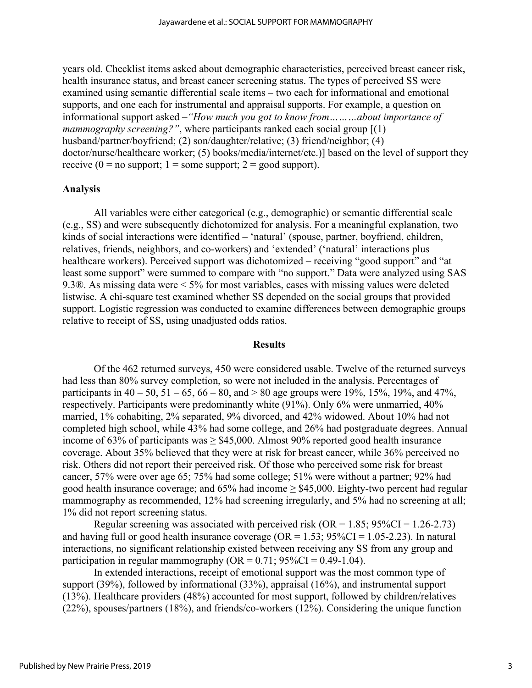years old. Checklist items asked about demographic characteristics, perceived breast cancer risk, health insurance status, and breast cancer screening status. The types of perceived SS were examined using semantic differential scale items – two each for informational and emotional supports, and one each for instrumental and appraisal supports. For example, a question on informational support asked –*"How much you got to know from………about importance of mammography screening?"*, where participants ranked each social group [(1) husband/partner/boyfriend; (2) son/daughter/relative; (3) friend/neighbor; (4) doctor/nurse/healthcare worker; (5) books/media/internet/etc.)] based on the level of support they receive ( $0 = no$  support;  $1 =$ some support;  $2 = good$  support).

#### **Analysis**

All variables were either categorical (e.g., demographic) or semantic differential scale (e.g., SS) and were subsequently dichotomized for analysis. For a meaningful explanation, two kinds of social interactions were identified – 'natural' (spouse, partner, boyfriend, children, relatives, friends, neighbors, and co-workers) and 'extended' ('natural' interactions plus healthcare workers). Perceived support was dichotomized – receiving "good support" and "at least some support" were summed to compare with "no support." Data were analyzed using SAS 9.3®. As missing data were < 5% for most variables, cases with missing values were deleted listwise. A chi-square test examined whether SS depended on the social groups that provided support. Logistic regression was conducted to examine differences between demographic groups relative to receipt of SS, using unadjusted odds ratios.

#### **Results**

Of the 462 returned surveys, 450 were considered usable. Twelve of the returned surveys had less than 80% survey completion, so were not included in the analysis. Percentages of participants in  $40 - 50$ ,  $51 - 65$ ,  $66 - 80$ , and  $> 80$  age groups were 19%, 15%, 19%, and 47%, respectively. Participants were predominantly white (91%). Only 6% were unmarried, 40% married, 1% cohabiting, 2% separated, 9% divorced, and 42% widowed. About 10% had not completed high school, while 43% had some college, and 26% had postgraduate degrees. Annual income of 63% of participants was  $\geq$  \$45,000. Almost 90% reported good health insurance coverage. About 35% believed that they were at risk for breast cancer, while 36% perceived no risk. Others did not report their perceived risk. Of those who perceived some risk for breast cancer, 57% were over age 65; 75% had some college; 51% were without a partner; 92% had good health insurance coverage; and  $65\%$  had income  $\geq$  \$45,000. Eighty-two percent had regular mammography as recommended, 12% had screening irregularly, and 5% had no screening at all; 1% did not report screening status.

Regular screening was associated with perceived risk (OR =  $1.85$ ; 95%CI =  $1.26$ -2.73) and having full or good health insurance coverage ( $OR = 1.53$ ;  $95\%CI = 1.05 - 2.23$ ). In natural interactions, no significant relationship existed between receiving any SS from any group and participation in regular mammography ( $OR = 0.71$ ;  $95\%CI = 0.49-1.04$ ).

In extended interactions, receipt of emotional support was the most common type of support (39%), followed by informational (33%), appraisal (16%), and instrumental support (13%). Healthcare providers (48%) accounted for most support, followed by children/relatives (22%), spouses/partners (18%), and friends/co-workers (12%). Considering the unique function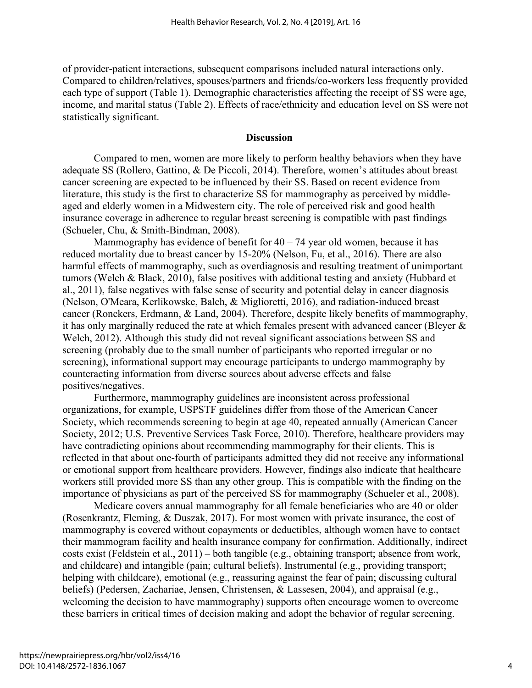of provider-patient interactions, subsequent comparisons included natural interactions only. Compared to children/relatives, spouses/partners and friends/co-workers less frequently provided each type of support (Table 1). Demographic characteristics affecting the receipt of SS were age, income, and marital status (Table 2). Effects of race/ethnicity and education level on SS were not statistically significant.

#### **Discussion**

Compared to men, women are more likely to perform healthy behaviors when they have adequate SS [\(Rollero, Gattino, & De Piccoli, 2014\)](#page-10-5). Therefore, women's attitudes about breast cancer screening are expected to be influenced by their SS. Based on recent evidence from literature, this study is the first to characterize SS for mammography as perceived by middleaged and elderly women in a Midwestern city. The role of perceived risk and good health insurance coverage in adherence to regular breast screening is compatible with past findings [\(Schueler, Chu, & Smith-Bindman, 2008\)](#page-10-6).

Mammography has evidence of benefit for  $40 - 74$  year old women, because it has reduced mortality due to breast cancer by 15-20% [\(Nelson, Fu, et al., 2016\)](#page-10-0). There are also harmful effects of mammography, such as overdiagnosis and resulting treatment of unimportant tumors [\(Welch & Black, 2010\)](#page-11-0), false positives with additional testing and anxiety [\(Hubbard et](#page-9-6)  [al., 2011\)](#page-9-6), false negatives with false sense of security and potential delay in cancer diagnosis [\(Nelson, O'Meara, Kerlikowske, Balch, & Miglioretti, 2016\)](#page-10-7), and radiation-induced breast cancer [\(Ronckers, Erdmann, & Land, 2004\)](#page-10-8). Therefore, despite likely benefits of mammography, it has only marginally reduced the rate at which females present with advanced cancer [\(Bleyer &](#page-9-7)  [Welch, 2012\)](#page-9-7). Although this study did not reveal significant associations between SS and screening (probably due to the small number of participants who reported irregular or no screening), informational support may encourage participants to undergo mammography by counteracting information from diverse sources about adverse effects and false positives/negatives.

Furthermore, mammography guidelines are inconsistent across professional organizations, for example, USPSTF guidelines differ from those of the American Cancer Society, which recommends screening to begin at age 40, repeated annually [\(American Cancer](#page-9-8)  [Society, 2012;](#page-9-8) [U.S. Preventive Services Task Force, 2010\)](#page-10-9). Therefore, healthcare providers may have contradicting opinions about recommending mammography for their clients. This is reflected in that about one-fourth of participants admitted they did not receive any informational or emotional support from healthcare providers. However, findings also indicate that healthcare workers still provided more SS than any other group. This is compatible with the finding on the importance of physicians as part of the perceived SS for mammography [\(Schueler et al., 2008\)](#page-10-6).

Medicare covers annual mammography for all female beneficiaries who are 40 or older [\(Rosenkrantz, Fleming, & Duszak, 2017\)](#page-10-10). For most women with private insurance, the cost of mammography is covered without copayments or deductibles, although women have to contact their mammogram facility and health insurance company for confirmation. Additionally, indirect costs exist [\(Feldstein et al., 2011\)](#page-9-9) – both tangible (e.g., obtaining transport; absence from work, and childcare) and intangible (pain; cultural beliefs). Instrumental (e.g., providing transport; helping with childcare), emotional (e.g., reassuring against the fear of pain; discussing cultural beliefs) [\(Pedersen, Zachariae, Jensen, Christensen, & Lassesen, 2004\)](#page-10-11), and appraisal (e.g., welcoming the decision to have mammography) supports often encourage women to overcome these barriers in critical times of decision making and adopt the behavior of regular screening.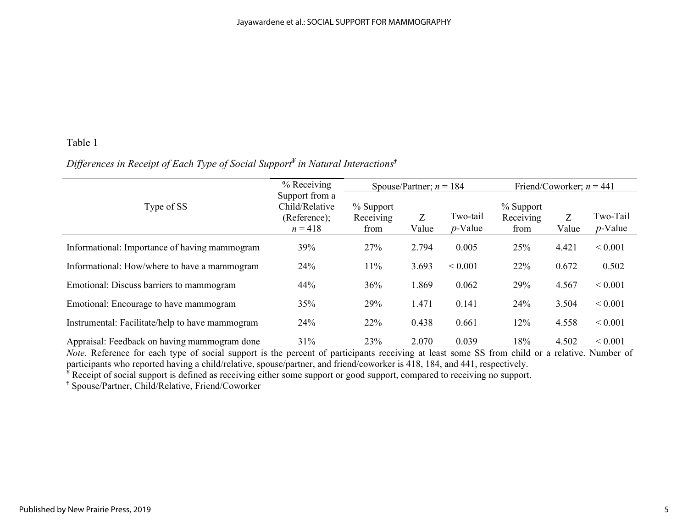# Table 1

# *Differences in Receipt of Each Type of Social Support¥ in Natural Interactions<sup>Ϯ</sup>*

|                                                 | % Receiving                                                   |                                | Spouse/Partner; $n = 184$ |                        | Friend/Coworker; $n = 441$       |            |                        |  |
|-------------------------------------------------|---------------------------------------------------------------|--------------------------------|---------------------------|------------------------|----------------------------------|------------|------------------------|--|
| Type of SS                                      | Support from a<br>Child/Relative<br>(Reference);<br>$n = 418$ | % Support<br>Receiving<br>from | Z<br>Value                | Two-tail<br>$p$ -Value | $%$ Support<br>Receiving<br>from | Z<br>Value | Two-Tail<br>$p$ -Value |  |
| Informational: Importance of having mammogram   | 39%                                                           | 27%                            | 2.794                     | 0.005                  | 25%                              | 4.421      | ${}< 0.001$            |  |
| Informational: How/where to have a mammogram    | 24%                                                           | 11%                            | 3.693                     | ${}< 0.001$            | 22%                              | 0.672      | 0.502                  |  |
| Emotional: Discuss barriers to mammogram        | 44%                                                           | 36%                            | 1.869                     | 0.062                  | 29%                              | 4.567      | ${}< 0.001$            |  |
| Emotional: Encourage to have mammogram          | 35%                                                           | 29%                            | 1.471                     | 0.141                  | 24%                              | 3.504      | ${}< 0.001$            |  |
| Instrumental: Facilitate/help to have mammogram | 24%                                                           | 22%                            | 0.438                     | 0.661                  | 12%                              | 4.558      | ${}< 0.001$            |  |
| Appraisal: Feedback on having mammogram done    | 31%                                                           | 23%                            | 2.070                     | 0.039                  | 18%                              | 4.502      | ${}< 0.001$            |  |

*Note.* Reference for each type of social support is the percent of participants receiving at least some SS from child or a relative. Number of participants who reported having a child/relative, spouse/partner, and friend/coworker is 418, 184, and 441, respectively.

<sup>‡</sup> Receipt of social support is defined as receiving either some support or good support, compared to receiving no support.

<sup>Ϯ</sup> Spouse/Partner, Child/Relative, Friend/Coworker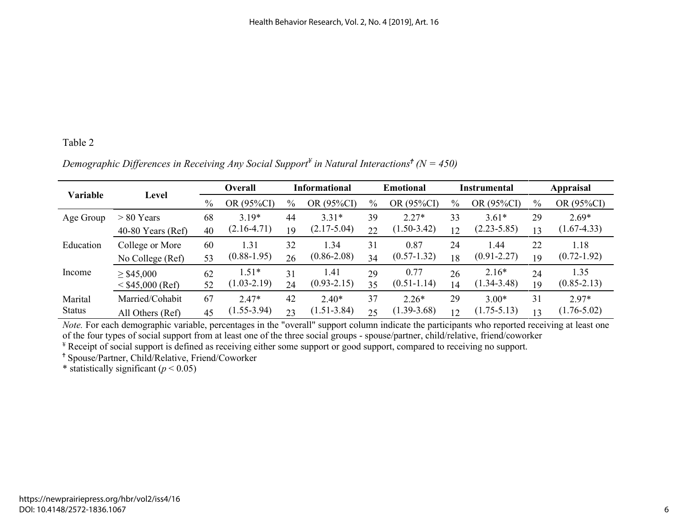# Table 2

*Demographic Differences in Receiving Any Social Support¥ in Natural Interactions<sup>Ϯ</sup> (N = 450)* 

| <b>Variable</b> | Level               | <b>Overall</b> |                 | <b>Informational</b> |                 | <b>Emotional</b> |                 | Instrumental |                 | <b>Appraisal</b> |                 |
|-----------------|---------------------|----------------|-----------------|----------------------|-----------------|------------------|-----------------|--------------|-----------------|------------------|-----------------|
|                 |                     | $\%$           | OR (95%CI)      | $\%$                 | OR (95%CI)      | $\frac{0}{0}$    | OR (95%CI)      | $\%$         | OR (95%CI)      | $\%$             | OR (95%CI)      |
| Age Group       | $> 80$ Years        | 68             | $3.19*$         | 44                   | $3.31*$         | 39               | $2.27*$         | 33           | $3.61*$         | 29               | $2.69*$         |
|                 | $40-80$ Years (Ref) | 40             | $(2.16-4.71)$   | 19                   | $(2.17 - 5.04)$ | 22               | $(1.50 - 3.42)$ | 12           | $(2.23 - 5.85)$ | 13               | $(1.67 - 4.33)$ |
| Education       | College or More     | 60             | 1.31            | 32                   | 1.34            | 31               | 0.87            | 24           | .44             | 22               | 1.18            |
|                 | No College (Ref)    | 53             | $(0.88 - 1.95)$ | 26                   | $(0.86 - 2.08)$ | 34               | $(0.57 - 1.32)$ | 18           | $(0.91 - 2.27)$ | 19               | $(0.72 - 1.92)$ |
| Income          | $\geq$ \$45,000     | 62             | $1.51*$         | 31                   | 1.41            | 29               | 0.77            | 26           | $2.16*$         | 24               | 1.35            |
|                 | $<$ \$45,000 (Ref)  | 52             | $(1.03 - 2.19)$ | 24                   | $(0.93 - 2.15)$ | 35               | $(0.51 - 1.14)$ | 14           | $(1.34 - 3.48)$ | 19               | $(0.85 - 2.13)$ |
| Marital         | Married/Cohabit     | 67             | $2.47*$         | 42                   | $2.40*$         | 37               | $2.26*$         | 29           | $3.00*$         | 31               | $2.97*$         |
| <b>Status</b>   | All Others (Ref)    | 45             | $(1.55 - 3.94)$ | 23                   | $(1.51 - 3.84)$ | 25               | $(1.39 - 3.68)$ | 12           | $(1.75 - 5.13)$ | 13               | $(1.76 - 5.02)$ |

*Note.* For each demographic variable, percentages in the "overall" support column indicate the participants who reported receiving at least one of the four types of social support from at least one of the three social gro

<sup>¥</sup> Receipt of social support is defined as receiving either some support or good support, compared to receiving no support.

<sup>Ϯ</sup> Spouse/Partner, Child/Relative, Friend/Coworker

\* statistically significant  $(p < 0.05)$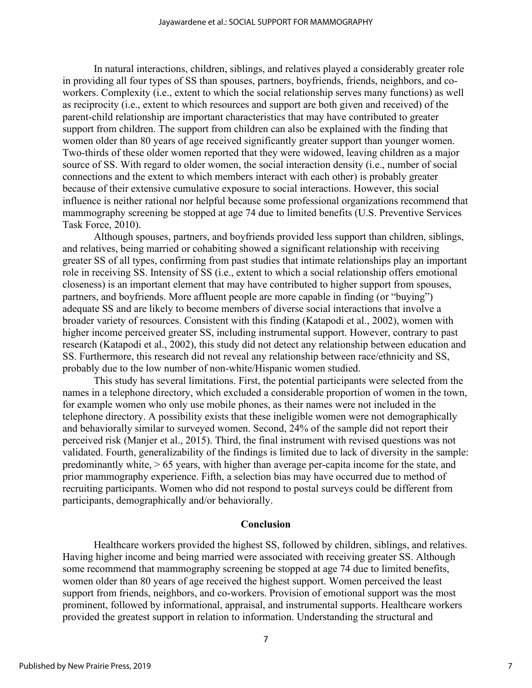In natural interactions, children, siblings, and relatives played a considerably greater role in providing all four types of SS than spouses, partners, boyfriends, friends, neighbors, and coworkers. Complexity (i.e., extent to which the social relationship serves many functions) as well as reciprocity (i.e., extent to which resources and support are both given and received) of the parent-child relationship are important characteristics that may have contributed to greater support from children. The support from children can also be explained with the finding that women older than 80 years of age received significantly greater support than younger women. Two-thirds of these older women reported that they were widowed, leaving children as a major source of SS. With regard to older women, the social interaction density (i.e., number of social connections and the extent to which members interact with each other) is probably greater because of their extensive cumulative exposure to social interactions. However, this social influence is neither rational nor helpful because some professional organizations recommend that mammography screening be stopped at age 74 due to limited benefits [\(U.S. Preventive Services](#page-10-9)  [Task Force, 2010\)](#page-10-9).

Although spouses, partners, and boyfriends provided less support than children, siblings, and relatives, being married or cohabiting showed a significant relationship with receiving greater SS of all types, confirming from past studies that intimate relationships play an important role in receiving SS. Intensity of SS (i.e., extent to which a social relationship offers emotional closeness) is an important element that may have contributed to higher support from spouses, partners, and boyfriends. More affluent people are more capable in finding (or "buying") adequate SS and are likely to become members of diverse social interactions that involve a broader variety of resources. Consistent with this finding [\(Katapodi et al., 2002\)](#page-9-0), women with higher income perceived greater SS, including instrumental support. However, contrary to past research [\(Katapodi et al., 2002\)](#page-9-0), this study did not detect any relationship between education and SS. Furthermore, this research did not reveal any relationship between race/ethnicity and SS, probably due to the low number of non-white/Hispanic women studied.

This study has several limitations. First, the potential participants were selected from the names in a telephone directory, which excluded a considerable proportion of women in the town, for example women who only use mobile phones, as their names were not included in the telephone directory. A possibility exists that these ineligible women were not demographically and behaviorally similar to surveyed women. Second, 24% of the sample did not report their perceived risk [\(Manjer et al., 2015\)](#page-9-3). Third, the final instrument with revised questions was not validated. Fourth, generalizability of the findings is limited due to lack of diversity in the sample: predominantly white, > 65 years, with higher than average per-capita income for the state, and prior mammography experience. Fifth, a selection bias may have occurred due to method of recruiting participants. Women who did not respond to postal surveys could be different from participants, demographically and/or behaviorally.

#### **Conclusion**

Healthcare workers provided the highest SS, followed by children, siblings, and relatives. Having higher income and being married were associated with receiving greater SS. Although some recommend that mammography screening be stopped at age 74 due to limited benefits, women older than 80 years of age received the highest support. Women perceived the least support from friends, neighbors, and co-workers. Provision of emotional support was the most prominent, followed by informational, appraisal, and instrumental supports. Healthcare workers provided the greatest support in relation to information. Understanding the structural and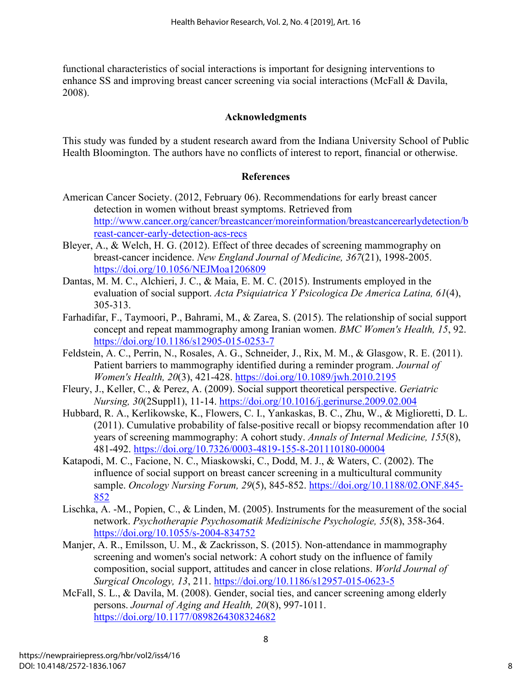functional characteristics of social interactions is important for designing interventions to enhance SS and improving breast cancer screening via social interactions [\(McFall & Davila,](#page-9-10)  [2008\)](#page-9-10).

# **Acknowledgments**

This study was funded by a student research award from the Indiana University School of Public Health Bloomington. The authors have no conflicts of interest to report, financial or otherwise.

# **References**

- <span id="page-9-8"></span>American Cancer Society. (2012, February 06). Recommendations for early breast cancer detection in women without breast symptoms. Retrieved from [http://www.cancer.org/cancer/breastcancer/moreinformation/breastcancerearlydetection/b](http://www.cancer.org/cancer/breastcancer/moreinformation/breastcancerearlydetection/breast-cancer-early-detection-acs-recs) [reast-cancer-early-detection-acs-recs](http://www.cancer.org/cancer/breastcancer/moreinformation/breastcancerearlydetection/breast-cancer-early-detection-acs-recs)
- <span id="page-9-7"></span>Bleyer, A., & Welch, H. G. (2012). Effect of three decades of screening mammography on breast-cancer incidence. *New England Journal of Medicine, 367*(21), 1998-2005. <https://doi.org/10.1056/NEJMoa1206809>
- <span id="page-9-4"></span>Dantas, M. M. C., Alchieri, J. C., & Maia, E. M. C. (2015). Instruments employed in the evaluation of social support. *Acta Psiquiatrica Y Psicologica De America Latina, 61*(4), 305-313.
- <span id="page-9-2"></span>Farhadifar, F., Taymoori, P., Bahrami, M., & Zarea, S. (2015). The relationship of social support concept and repeat mammography among Iranian women. *BMC Women's Health, 15*, 92. <https://doi.org/10.1186/s12905-015-0253-7>
- <span id="page-9-9"></span>Feldstein, A. C., Perrin, N., Rosales, A. G., Schneider, J., Rix, M. M., & Glasgow, R. E. (2011). Patient barriers to mammography identified during a reminder program. *Journal of Women's Health, 20*(3), 421-428.<https://doi.org/10.1089/jwh.2010.2195>
- <span id="page-9-1"></span>Fleury, J., Keller, C., & Perez, A. (2009). Social support theoretical perspective. *Geriatric Nursing, 30*(2Suppl1), 11-14.<https://doi.org/10.1016/j.gerinurse.2009.02.004>
- <span id="page-9-6"></span>Hubbard, R. A., Kerlikowske, K., Flowers, C. I., Yankaskas, B. C., Zhu, W., & Miglioretti, D. L. (2011). Cumulative probability of false-positive recall or biopsy recommendation after 10 years of screening mammography: A cohort study. *Annals of Internal Medicine, 155*(8), 481-492.<https://doi.org/10.7326/0003-4819-155-8-201110180-00004>
- <span id="page-9-0"></span>Katapodi, M. C., Facione, N. C., Miaskowski, C., Dodd, M. J., & Waters, C. (2002). The influence of social support on breast cancer screening in a multicultural community sample. *Oncology Nursing Forum, 29*(5), 845-852. [https://doi.org/10.1188/02.ONF.845-](https://doi.org/10.1188/02.ONF.845-852) [852](https://doi.org/10.1188/02.ONF.845-852)
- <span id="page-9-5"></span>Lischka, A. -M., Popien, C., & Linden, M. (2005). Instruments for the measurement of the social network. *Psychotherapie Psychosomatik Medizinische Psychologie, 55*(8), 358-364. <https://doi.org/10.1055/s-2004-834752>
- <span id="page-9-3"></span>Manjer, A. R., Emilsson, U. M., & Zackrisson, S. (2015). Non-attendance in mammography screening and women's social network: A cohort study on the influence of family composition, social support, attitudes and cancer in close relations. *World Journal of Surgical Oncology, 13*, 211.<https://doi.org/10.1186/s12957-015-0623-5>
- <span id="page-9-10"></span>McFall, S. L., & Davila, M. (2008). Gender, social ties, and cancer screening among elderly persons. *Journal of Aging and Health, 20*(8), 997-1011. <https://doi.org/10.1177/0898264308324682>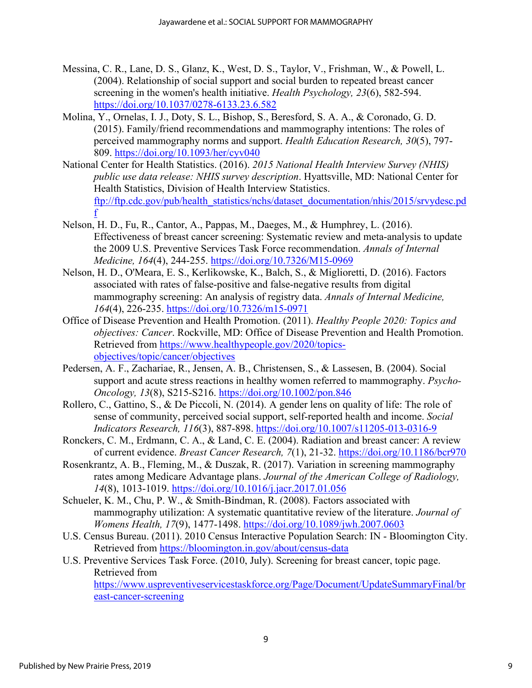- <span id="page-10-2"></span>Messina, C. R., Lane, D. S., Glanz, K., West, D. S., Taylor, V., Frishman, W., & Powell, L. (2004). Relationship of social support and social burden to repeated breast cancer screening in the women's health initiative. *Health Psychology, 23*(6), 582-594. <https://doi.org/10.1037/0278-6133.23.6.582>
- <span id="page-10-3"></span>Molina, Y., Ornelas, I. J., Doty, S. L., Bishop, S., Beresford, S. A. A., & Coronado, G. D. (2015). Family/friend recommendations and mammography intentions: The roles of perceived mammography norms and support. *Health Education Research, 30*(5), 797- 809.<https://doi.org/10.1093/her/cyv040>
- <span id="page-10-1"></span>National Center for Health Statistics. (2016). *2015 National Health Interview Survey (NHIS) public use data release: NHIS survey description*. Hyattsville, MD: National Center for Health Statistics, Division of Health Interview Statistics. [ftp://ftp.cdc.gov/pub/health\\_statistics/nchs/dataset\\_documentation/nhis/2015/srvydesc.pd](ftp://ftp.cdc.gov/pub/health_statistics/nchs/dataset_documentation/nhis/2015/srvydesc.pdf) [f](ftp://ftp.cdc.gov/pub/health_statistics/nchs/dataset_documentation/nhis/2015/srvydesc.pdf)
- <span id="page-10-0"></span>Nelson, H. D., Fu, R., Cantor, A., Pappas, M., Daeges, M., & Humphrey, L. (2016). Effectiveness of breast cancer screening: Systematic review and meta-analysis to update the 2009 U.S. Preventive Services Task Force recommendation. *Annals of Internal Medicine, 164*(4), 244-255.<https://doi.org/10.7326/M15-0969>
- <span id="page-10-7"></span>Nelson, H. D., O'Meara, E. S., Kerlikowske, K., Balch, S., & Miglioretti, D. (2016). Factors associated with rates of false-positive and false-negative results from digital mammography screening: An analysis of registry data. *Annals of Internal Medicine, 164*(4), 226-235.<https://doi.org/10.7326/m15-0971>
- <span id="page-10-11"></span>Office of Disease Prevention and Health Promotion. (2011). *Healthy People 2020: Topics and objectives: Cancer*. Rockville, MD: Office of Disease Prevention and Health Promotion. Retrieved from [https://www.healthypeople.gov/2020/topics](https://www.healthypeople.gov/2020/topics-objectives/topic/cancer/objectives)[objectives/topic/cancer/objectives](https://www.healthypeople.gov/2020/topics-objectives/topic/cancer/objectives)
- Pedersen, A. F., Zachariae, R., Jensen, A. B., Christensen, S., & Lassesen, B. (2004). Social support and acute stress reactions in healthy women referred to mammography. *Psycho-Oncology, 13*(8), S215-S216.<https://doi.org/10.1002/pon.846>
- <span id="page-10-5"></span>Rollero, C., Gattino, S., & De Piccoli, N. (2014). A gender lens on quality of life: The role of sense of community, perceived social support, self-reported health and income. *Social Indicators Research, 116*(3), 887-898.<https://doi.org/10.1007/s11205-013-0316-9>
- <span id="page-10-8"></span>Ronckers, C. M., Erdmann, C. A., & Land, C. E. (2004). Radiation and breast cancer: A review of current evidence. *Breast Cancer Research, 7*(1), 21-32.<https://doi.org/10.1186/bcr970>
- <span id="page-10-10"></span>Rosenkrantz, A. B., Fleming, M., & Duszak, R. (2017). Variation in screening mammography rates among Medicare Advantage plans. *Journal of the American College of Radiology, 14*(8), 1013-1019.<https://doi.org/10.1016/j.jacr.2017.01.056>
- <span id="page-10-6"></span>Schueler, K. M., Chu, P. W., & Smith-Bindman, R. (2008). Factors associated with mammography utilization: A systematic quantitative review of the literature. *Journal of Womens Health, 17*(9), 1477-1498.<https://doi.org/10.1089/jwh.2007.0603>
- <span id="page-10-4"></span>U.S. Census Bureau. (2011). 2010 Census Interactive Population Search: IN - Bloomington City. Retrieved from<https://bloomington.in.gov/about/census-data>

<span id="page-10-9"></span>U.S. Preventive Services Task Force. (2010, July). Screening for breast cancer, topic page. Retrieved from

[https://www.uspreventiveservicestaskforce.org/Page/Document/UpdateSummaryFinal/br](https://www.uspreventiveservicestaskforce.org/Page/Document/UpdateSummaryFinal/breast-cancer-screening) [east-cancer-screening](https://www.uspreventiveservicestaskforce.org/Page/Document/UpdateSummaryFinal/breast-cancer-screening)